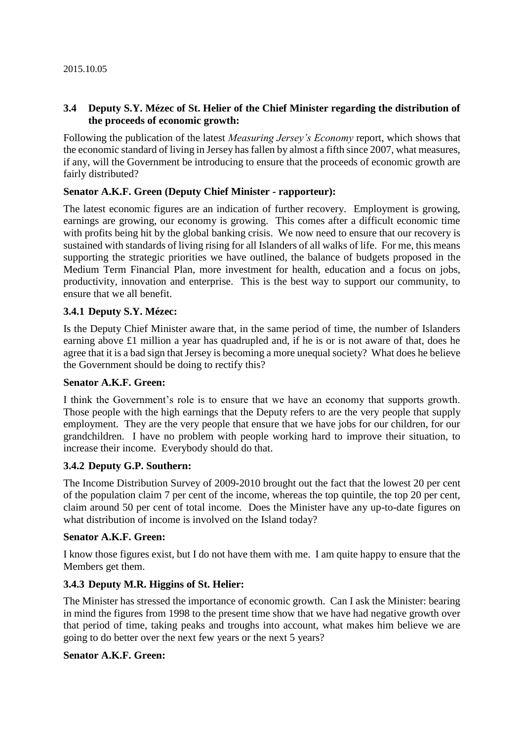## **3.4 Deputy S.Y. Mézec of St. Helier of the Chief Minister regarding the distribution of the proceeds of economic growth:**

Following the publication of the latest *Measuring Jersey's Economy* report, which shows that the economic standard of living in Jersey has fallen by almost a fifth since 2007, what measures, if any, will the Government be introducing to ensure that the proceeds of economic growth are fairly distributed?

### **Senator A.K.F. Green (Deputy Chief Minister - rapporteur):**

The latest economic figures are an indication of further recovery. Employment is growing, earnings are growing, our economy is growing. This comes after a difficult economic time with profits being hit by the global banking crisis. We now need to ensure that our recovery is sustained with standards of living rising for all Islanders of all walks of life. For me, this means supporting the strategic priorities we have outlined, the balance of budgets proposed in the Medium Term Financial Plan, more investment for health, education and a focus on jobs, productivity, innovation and enterprise. This is the best way to support our community, to ensure that we all benefit.

### **3.4.1 Deputy S.Y. Mézec:**

Is the Deputy Chief Minister aware that, in the same period of time, the number of Islanders earning above £1 million a year has quadrupled and, if he is or is not aware of that, does he agree that it is a bad sign that Jersey is becoming a more unequal society? What does he believe the Government should be doing to rectify this?

### **Senator A.K.F. Green:**

I think the Government's role is to ensure that we have an economy that supports growth. Those people with the high earnings that the Deputy refers to are the very people that supply employment. They are the very people that ensure that we have jobs for our children, for our grandchildren. I have no problem with people working hard to improve their situation, to increase their income. Everybody should do that.

### **3.4.2 Deputy G.P. Southern:**

The Income Distribution Survey of 2009-2010 brought out the fact that the lowest 20 per cent of the population claim 7 per cent of the income, whereas the top quintile, the top 20 per cent, claim around 50 per cent of total income. Does the Minister have any up-to-date figures on what distribution of income is involved on the Island today?

### **Senator A.K.F. Green:**

I know those figures exist, but I do not have them with me. I am quite happy to ensure that the Members get them.

## **3.4.3 Deputy M.R. Higgins of St. Helier:**

The Minister has stressed the importance of economic growth. Can I ask the Minister: bearing in mind the figures from 1998 to the present time show that we have had negative growth over that period of time, taking peaks and troughs into account, what makes him believe we are going to do better over the next few years or the next 5 years?

### **Senator A.K.F. Green:**